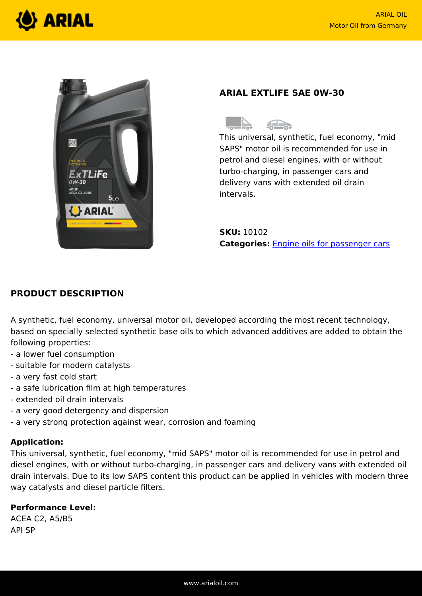



# **ARIAL EXTLIFE SAE 0W-30**



This universal, synthetic, fuel economy, "mid SAPS" motor oil is recommended for use in petrol and diesel engines, with or without turbo-charging, in passenger cars and delivery vans with extended oil drain intervals.

**SKU:** 10102 **Categories:** [Engine oils for passenger cars](https://www.arialoil.com/product-category/engine-oils/engine-oils-for-passenger-cars/)

## **PRODUCT DESCRIPTION**

A synthetic, fuel economy, universal motor oil, developed according the most recent technology, based on specially selected synthetic base oils to which advanced additives are added to obtain the following properties:

- a lower fuel consumption
- suitable for modern catalysts
- a very fast cold start
- a safe lubrication film at high temperatures
- extended oil drain intervals
- a very good detergency and dispersion
- a very strong protection against wear, corrosion and foaming

#### **Application:**

This universal, synthetic, fuel economy, "mid SAPS" motor oil is recommended for use in petrol and diesel engines, with or without turbo-charging, in passenger cars and delivery vans with extended oil drain intervals. Due to its low SAPS content this product can be applied in vehicles with modern three way catalysts and diesel particle filters.

### **Performance Level:**

ACEA C2, A5/B5 API SP